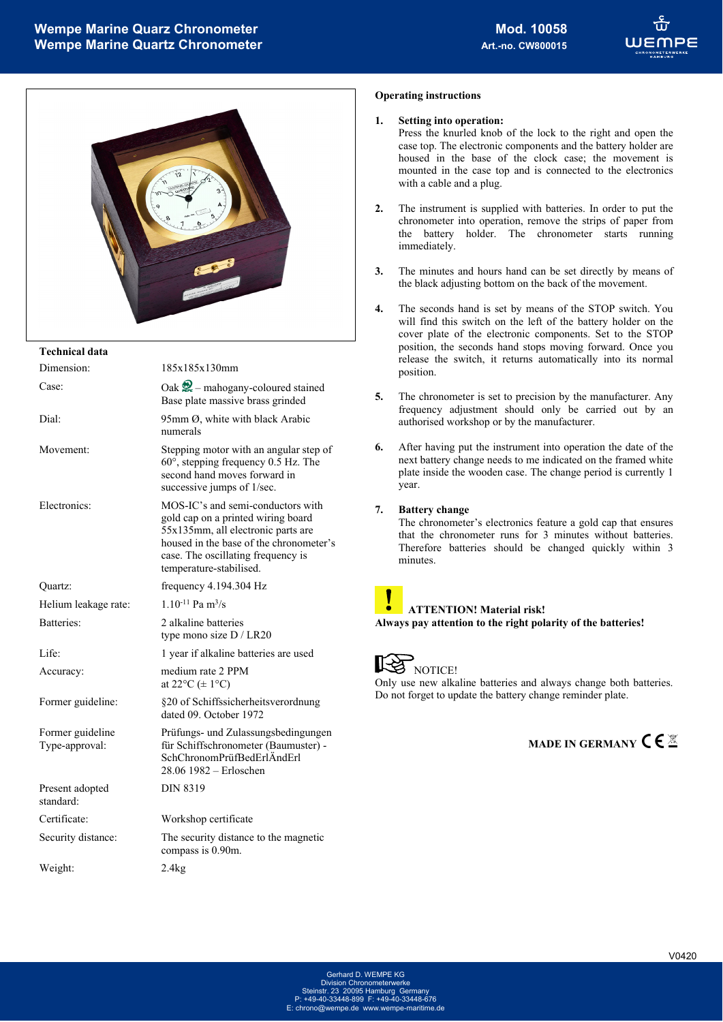

#### **Technical data**

l,

| Dimension:                         | 185x185x130mm                                                                                                                                                                                                             |
|------------------------------------|---------------------------------------------------------------------------------------------------------------------------------------------------------------------------------------------------------------------------|
| Case:                              | Oak $\mathcal{Q}$ – mahogany-coloured stained<br>Base plate massive brass grinded                                                                                                                                         |
| Dial:                              | 95mm Ø, white with black Arabic<br>numerals                                                                                                                                                                               |
| Movement:                          | Stepping motor with an angular step of<br>$60^\circ$ , stepping frequency 0.5 Hz. The<br>second hand moves forward in<br>successive jumps of 1/sec.                                                                       |
| Electronics:                       | MOS-IC's and semi-conductors with<br>gold cap on a printed wiring board<br>55x135mm, all electronic parts are<br>housed in the base of the chronometer's<br>case. The oscillating frequency is<br>temperature-stabilised. |
| Quartz:                            | frequency $4.194.304$ Hz                                                                                                                                                                                                  |
| Helium leakage rate:               | $1.10^{-11}$ Pa m <sup>3</sup> /s                                                                                                                                                                                         |
| Batteries:                         | 2 alkaline batteries<br>type mono size D / LR20                                                                                                                                                                           |
| Life:                              | 1 year if alkaline batteries are used                                                                                                                                                                                     |
| Accuracy:                          | medium rate 2 PPM<br>at $22^{\circ}C \neq 1^{\circ}C$                                                                                                                                                                     |
| Former guideline:                  | §20 of Schiffssicherheitsverordnung<br>dated 09. October 1972                                                                                                                                                             |
| Former guideline<br>Type-approval: | Prüfungs- und Zulassungsbedingungen<br>für Schiffschronometer (Baumuster) -<br>SchChronomPrüfBedErlÄndErl<br>28.06 1982 – Erloschen                                                                                       |
| Present adopted<br>standard:       | <b>DIN 8319</b>                                                                                                                                                                                                           |
| Certificate:                       | Workshop certificate                                                                                                                                                                                                      |
| Security distance:                 | The security distance to the magnetic<br>compass is 0.90m.                                                                                                                                                                |
| Weight:                            | 2.4kg                                                                                                                                                                                                                     |
|                                    |                                                                                                                                                                                                                           |

#### **Operating instructions**

#### **1. Setting into operation:**

Press the knurled knob of the lock to the right and open the case top. The electronic components and the battery holder are housed in the base of the clock case; the movement is mounted in the case top and is connected to the electronics with a cable and a plug.

- **2.** The instrument is supplied with batteries. In order to put the chronometer into operation, remove the strips of paper from the battery holder. The chronometer starts running immediately.
- **3.** The minutes and hours hand can be set directly by means of the black adjusting bottom on the back of the movement.
- **4.** The seconds hand is set by means of the STOP switch. You will find this switch on the left of the battery holder on the cover plate of the electronic components. Set to the STOP position, the seconds hand stops moving forward. Once you release the switch, it returns automatically into its normal position.
- **5.** The chronometer is set to precision by the manufacturer. Any frequency adjustment should only be carried out by an authorised workshop or by the manufacturer.
- **6.** After having put the instrument into operation the date of the next battery change needs to me indicated on the framed white plate inside the wooden case. The change period is currently 1 year.

#### **7. Battery change**

The chronometer's electronics feature a gold cap that ensures that the chronometer runs for 3 minutes without batteries. Therefore batteries should be changed quickly within 3 minutes.

# **ATTENTION! Material risk!**

**Always pay attention to the right polarity of the batteries!** 

### **NOTICE!**

Only use new alkaline batteries and always change both batteries. Do not forget to update the battery change reminder plate.

**MADE IN GERMANY CE** 

Division Chronometerwerke Steinstr. 23 20095 Hamburg Germany P: +49-40-33448-899 F: +49-40-33448-676 E: chrono@wempe.de www.wempe-maritin